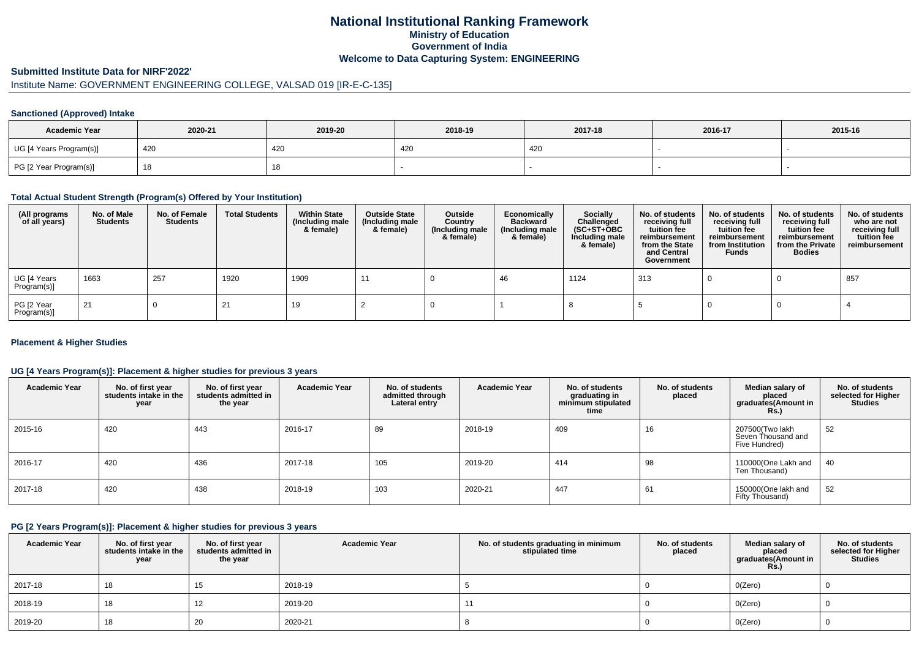## **National Institutional Ranking FrameworkMinistry of Education Government of IndiaWelcome to Data Capturing System: ENGINEERING**

#### **Submitted Institute Data for NIRF'2022'**

# Institute Name: GOVERNMENT ENGINEERING COLLEGE, VALSAD 019 [IR-E-C-135]

#### **Sanctioned (Approved) Intake**

| <b>Academic Year</b>    | 2020-21 | 2019-20    | 2018-19 | 2017-18 | 2016-17 | 2015-16 |
|-------------------------|---------|------------|---------|---------|---------|---------|
| UG [4 Years Program(s)] | 420     | 420        | 420     | 420     |         |         |
| PG [2 Year Program(s)]  |         | 4 C<br>10. |         |         |         |         |

#### **Total Actual Student Strength (Program(s) Offered by Your Institution)**

| (All programs<br>of all years) | No. of Male<br><b>Students</b> | No. of Female<br>Students | <b>Total Students</b> | <b>Within State</b><br>(Including male<br>& female) | <b>Outside State</b><br>(Including male<br>& female) | Outside<br>Country<br>(Including male<br>& female) | Economically<br><b>Backward</b><br>(Including male<br>& female) | <b>Socially</b><br>Challenged<br>$(SC+ST+OBC)$<br>Including male<br>& female) | No. of students<br>receiving full<br>tuition fee<br>reimbursement<br>from the State<br>and Central<br>Government | No. of students<br>receiving full<br>tuition fee<br>reimbursement<br>from Institution<br><b>Funds</b> | No. of students<br>receiving full<br>tuition fee<br>reimbursement<br>from the Private<br><b>Bodies</b> | No. of students<br>who are not<br>receiving full<br>tuition fee<br>reimbursement |
|--------------------------------|--------------------------------|---------------------------|-----------------------|-----------------------------------------------------|------------------------------------------------------|----------------------------------------------------|-----------------------------------------------------------------|-------------------------------------------------------------------------------|------------------------------------------------------------------------------------------------------------------|-------------------------------------------------------------------------------------------------------|--------------------------------------------------------------------------------------------------------|----------------------------------------------------------------------------------|
| UG [4 Years<br>Program(s)]     | 1663                           | 257                       | 1920                  | 1909                                                |                                                      |                                                    | 46                                                              | 1124                                                                          | 313                                                                                                              |                                                                                                       |                                                                                                        | 857                                                                              |
| PG [2 Year<br>Program(s)]      | 21                             |                           |                       | 19                                                  |                                                      |                                                    |                                                                 |                                                                               |                                                                                                                  |                                                                                                       |                                                                                                        |                                                                                  |

#### **Placement & Higher Studies**

#### **UG [4 Years Program(s)]: Placement & higher studies for previous 3 years**

| <b>Academic Year</b> | No. of first year<br>students intake in the<br>year | No. of first vear<br>students admitted in<br>the year | <b>Academic Year</b> | No. of students<br>admitted through<br>Lateral entry | <b>Academic Year</b> | No. of students<br>graduating in<br>minimum stipulated<br>time | No. of students<br>placed | Median salary of<br>placed<br>graduates(Amount in<br>Rs.) | No. of students<br>selected for Higher<br><b>Studies</b> |
|----------------------|-----------------------------------------------------|-------------------------------------------------------|----------------------|------------------------------------------------------|----------------------|----------------------------------------------------------------|---------------------------|-----------------------------------------------------------|----------------------------------------------------------|
| 2015-16              | 420                                                 | 443                                                   | 2016-17              | 89                                                   | 2018-19              | 409                                                            | 16                        | 207500(Two lakh<br>Seven Thousand and<br>Five Hundred)    | 52                                                       |
| 2016-17              | 420                                                 | 436                                                   | 2017-18              | 105                                                  | 2019-20              | 414                                                            | 98                        | 110000(One Lakh and<br>Ten Thousand)                      | 40                                                       |
| 2017-18              | 420                                                 | 438                                                   | 2018-19              | 103                                                  | 2020-21              | 447                                                            | 61                        | 150000(One lakh and<br>Fifty Thousand)                    | 52                                                       |

#### **PG [2 Years Program(s)]: Placement & higher studies for previous 3 years**

| <b>Academic Year</b> | No. of first year<br>students intake in the<br>year | No. of first year<br>students admitted in<br>the year | <b>Academic Year</b> | No. of students graduating in minimum<br>stipulated time | No. of students<br>placed | Median salary of<br>placed<br>graduates(Amount in<br>Rs. | No. of students<br>selected for Higher<br><b>Studies</b> |
|----------------------|-----------------------------------------------------|-------------------------------------------------------|----------------------|----------------------------------------------------------|---------------------------|----------------------------------------------------------|----------------------------------------------------------|
| 2017-18              | 18                                                  | 15                                                    | 2018-19              |                                                          |                           | O(Zero)                                                  |                                                          |
| 2018-19              | 18                                                  | 12                                                    | 2019-20              |                                                          |                           | O(Zero)                                                  |                                                          |
| 2019-20              | 18                                                  | 20                                                    | 2020-21              |                                                          |                           | O(Zero)                                                  |                                                          |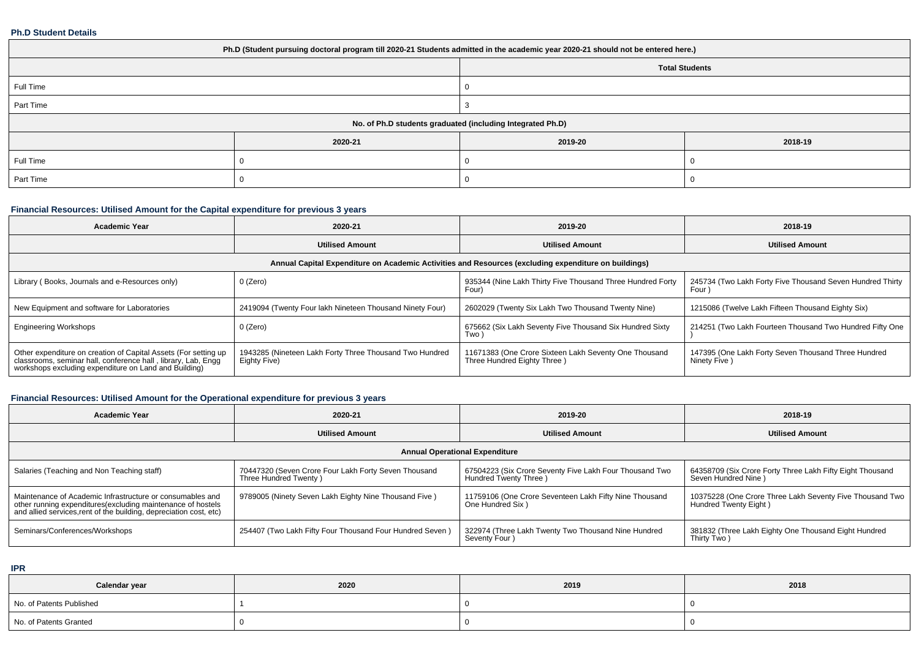#### **Ph.D Student Details**

| Ph.D (Student pursuing doctoral program till 2020-21 Students admitted in the academic year 2020-21 should not be entered here.) |         |                                                            |         |  |  |  |  |
|----------------------------------------------------------------------------------------------------------------------------------|---------|------------------------------------------------------------|---------|--|--|--|--|
| <b>Total Students</b>                                                                                                            |         |                                                            |         |  |  |  |  |
| Full Time                                                                                                                        |         |                                                            |         |  |  |  |  |
| Part Time                                                                                                                        |         |                                                            |         |  |  |  |  |
|                                                                                                                                  |         | No. of Ph.D students graduated (including Integrated Ph.D) |         |  |  |  |  |
|                                                                                                                                  | 2020-21 | 2019-20                                                    | 2018-19 |  |  |  |  |
| Full Time                                                                                                                        |         |                                                            |         |  |  |  |  |
| Part Time                                                                                                                        |         |                                                            |         |  |  |  |  |

### **Financial Resources: Utilised Amount for the Capital expenditure for previous 3 years**

| <b>Academic Year</b>                                                                                                                                                                   | 2020-21                                                                 | 2019-20                                                                              | 2018-19                                                             |  |  |  |  |
|----------------------------------------------------------------------------------------------------------------------------------------------------------------------------------------|-------------------------------------------------------------------------|--------------------------------------------------------------------------------------|---------------------------------------------------------------------|--|--|--|--|
|                                                                                                                                                                                        | <b>Utilised Amount</b>                                                  | <b>Utilised Amount</b>                                                               | <b>Utilised Amount</b>                                              |  |  |  |  |
| Annual Capital Expenditure on Academic Activities and Resources (excluding expenditure on buildings)                                                                                   |                                                                         |                                                                                      |                                                                     |  |  |  |  |
| Library (Books, Journals and e-Resources only)                                                                                                                                         | 0 (Zero)                                                                | 935344 (Nine Lakh Thirty Five Thousand Three Hundred Forty<br>Four'                  | 245734 (Two Lakh Forty Five Thousand Seven Hundred Thirty<br>Four)  |  |  |  |  |
| New Equipment and software for Laboratories                                                                                                                                            | 2419094 (Twenty Four lakh Nineteen Thousand Ninety Four)                | 2602029 (Twenty Six Lakh Two Thousand Twenty Nine)                                   | 1215086 (Twelve Lakh Fifteen Thousand Eighty Six)                   |  |  |  |  |
| <b>Engineering Workshops</b>                                                                                                                                                           | 0 (Zero)                                                                | 675662 (Six Lakh Seventy Five Thousand Six Hundred Sixty<br>Two)                     | 214251 (Two Lakh Fourteen Thousand Two Hundred Fifty One            |  |  |  |  |
| Other expenditure on creation of Capital Assets (For setting up classrooms, seminar hall, conference hall, library, Lab, Engg<br>workshops excluding expenditure on Land and Building) | 1943285 (Nineteen Lakh Forty Three Thousand Two Hundred<br>Eighty Five) | 11671383 (One Crore Sixteen Lakh Seventy One Thousand<br>Three Hundred Eighty Three) | 147395 (One Lakh Forty Seven Thousand Three Hundred<br>Ninety Five) |  |  |  |  |

## **Financial Resources: Utilised Amount for the Operational expenditure for previous 3 years**

| <b>Academic Year</b>                                                                                                                                                                            | 2020-21                                                                       | 2019-20                                                                          | 2018-19                                                                             |  |  |  |  |
|-------------------------------------------------------------------------------------------------------------------------------------------------------------------------------------------------|-------------------------------------------------------------------------------|----------------------------------------------------------------------------------|-------------------------------------------------------------------------------------|--|--|--|--|
|                                                                                                                                                                                                 | <b>Utilised Amount</b>                                                        | <b>Utilised Amount</b>                                                           | <b>Utilised Amount</b>                                                              |  |  |  |  |
| <b>Annual Operational Expenditure</b>                                                                                                                                                           |                                                                               |                                                                                  |                                                                                     |  |  |  |  |
| Salaries (Teaching and Non Teaching staff)                                                                                                                                                      | 70447320 (Seven Crore Four Lakh Forty Seven Thousand<br>Three Hundred Twenty) | 67504223 (Six Crore Seventy Five Lakh Four Thousand Two<br>Hundred Twenty Three) | 64358709 (Six Crore Forty Three Lakh Fifty Eight Thousand<br>Seven Hundred Nine)    |  |  |  |  |
| Maintenance of Academic Infrastructure or consumables and<br>other running expenditures (excluding maintenance of hostels<br>and allied services, rent of the building, depreciation cost, etc) | 9789005 (Ninety Seven Lakh Eighty Nine Thousand Five)                         | 11759106 (One Crore Seventeen Lakh Fifty Nine Thousand<br>One Hundred Six )      | 10375228 (One Crore Three Lakh Seventy Five Thousand Two  <br>Hundred Twenty Eight) |  |  |  |  |
| Seminars/Conferences/Workshops                                                                                                                                                                  | 254407 (Two Lakh Fifty Four Thousand Four Hundred Seven)                      | 322974 (Three Lakh Twenty Two Thousand Nine Hundred<br>Seventy Four)             | 381832 (Three Lakh Eighty One Thousand Eight Hundred<br>Thirty Two)                 |  |  |  |  |

**IPR**

| Calendar year            | 2020 | 2019 | 2018 |
|--------------------------|------|------|------|
| No. of Patents Published |      |      |      |
| No. of Patents Granted   |      |      |      |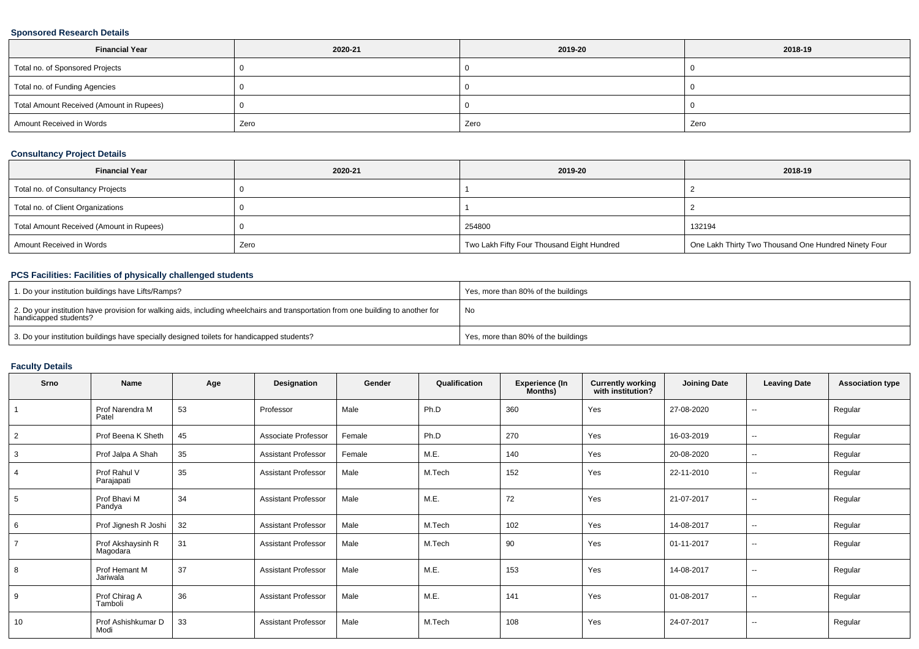### **Sponsored Research Details**

| <b>Financial Year</b>                    | 2020-21 | 2019-20 | 2018-19 |  |
|------------------------------------------|---------|---------|---------|--|
| Total no. of Sponsored Projects          |         |         |         |  |
| Total no. of Funding Agencies            |         |         |         |  |
| Total Amount Received (Amount in Rupees) |         |         |         |  |
| Amount Received in Words                 | Zero    | Zero    | Zero    |  |

### **Consultancy Project Details**

| <b>Financial Year</b>                    | 2020-21 | 2019-20                                    | 2018-19                                              |
|------------------------------------------|---------|--------------------------------------------|------------------------------------------------------|
| Total no. of Consultancy Projects        |         |                                            |                                                      |
| Total no. of Client Organizations        |         |                                            |                                                      |
| Total Amount Received (Amount in Rupees) |         | 254800                                     | 132194                                               |
| Amount Received in Words                 | Zero    | Two Lakh Fifty Four Thousand Eight Hundred | One Lakh Thirty Two Thousand One Hundred Ninety Four |

### **PCS Facilities: Facilities of physically challenged students**

| 1. Do your institution buildings have Lifts/Ramps?                                                                                                         | Yes, more than 80% of the buildings |
|------------------------------------------------------------------------------------------------------------------------------------------------------------|-------------------------------------|
| 2. Do your institution have provision for walking aids, including wheelchairs and transportation from one building to another for<br>handicapped students? | No                                  |
| 3. Do your institution buildings have specially designed toilets for handicapped students?                                                                 | Yes, more than 80% of the buildings |

### **Faculty Details**

| Srno           | Name                          | Age | Designation                | Gender | Qualification | <b>Experience (In</b><br>Months) | <b>Currently working</b><br>with institution? | <b>Joining Date</b> | <b>Leaving Date</b> | <b>Association type</b> |
|----------------|-------------------------------|-----|----------------------------|--------|---------------|----------------------------------|-----------------------------------------------|---------------------|---------------------|-------------------------|
|                | Prof Narendra M<br>Patel      | 53  | Professor                  | Male   | Ph.D          | 360                              | Yes                                           | 27-08-2020          | $\sim$              | Regular                 |
| $\overline{2}$ | Prof Beena K Sheth            | 45  | Associate Professor        | Female | Ph.D          | 270                              | Yes                                           | 16-03-2019          | --                  | Regular                 |
| 3              | Prof Jalpa A Shah             | 35  | <b>Assistant Professor</b> | Female | M.E.          | 140                              | Yes                                           | 20-08-2020          | $\sim$              | Regular                 |
|                | Prof Rahul V<br>Parajapati    | 35  | <b>Assistant Professor</b> | Male   | M.Tech        | 152                              | Yes                                           | 22-11-2010          | $\sim$              | Regular                 |
| 5              | Prof Bhavi M<br>Pandya        | 34  | <b>Assistant Professor</b> | Male   | M.E.          | 72                               | Yes                                           | 21-07-2017          | $\sim$              | Regular                 |
| 6              | Prof Jignesh R Joshi          | 32  | <b>Assistant Professor</b> | Male   | M.Tech        | 102                              | Yes                                           | 14-08-2017          | $\sim$              | Regular                 |
|                | Prof Akshaysinh R<br>Magodara | 31  | <b>Assistant Professor</b> | Male   | M.Tech        | 90                               | Yes                                           | 01-11-2017          | $\sim$              | Regular                 |
| 8              | Prof Hemant M<br>Jariwala     | 37  | <b>Assistant Professor</b> | Male   | M.E.          | 153                              | Yes                                           | 14-08-2017          | --                  | Regular                 |
| 9              | Prof Chirag A<br>Tamboli      | 36  | <b>Assistant Professor</b> | Male   | M.E.          | 141                              | Yes                                           | 01-08-2017          | $\sim$              | Regular                 |
| 10             | Prof Ashishkumar D<br>Modi    | 33  | <b>Assistant Professor</b> | Male   | M.Tech        | 108                              | Yes                                           | 24-07-2017          | $\sim$              | Regular                 |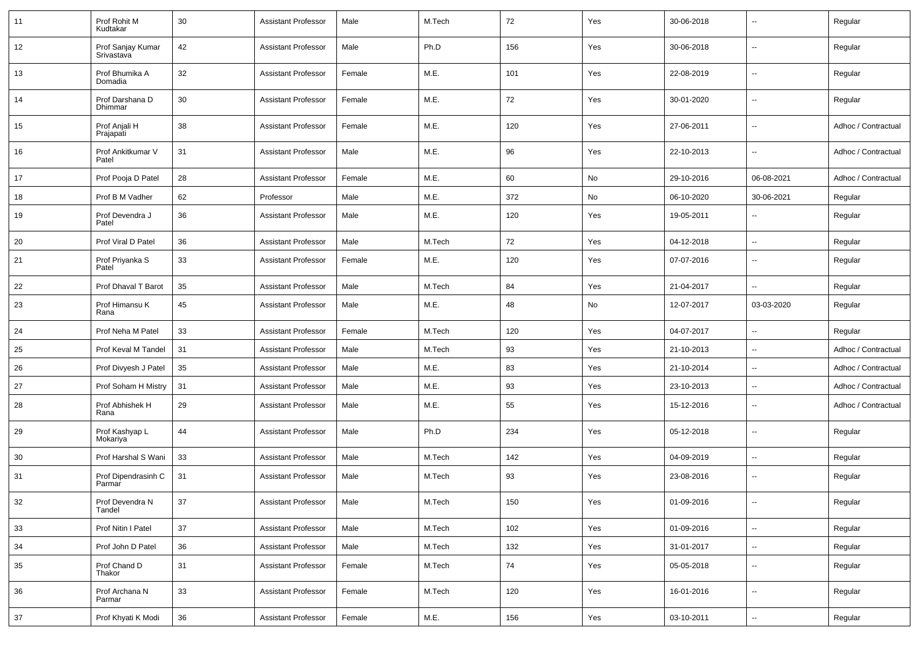| 11 | Prof Rohit M<br>Kudtakar        | 30     | <b>Assistant Professor</b> | Male   | M.Tech | 72  | Yes | 30-06-2018 | $\overline{\phantom{a}}$ | Regular             |
|----|---------------------------------|--------|----------------------------|--------|--------|-----|-----|------------|--------------------------|---------------------|
| 12 | Prof Sanjay Kumar<br>Srivastava | 42     | <b>Assistant Professor</b> | Male   | Ph.D   | 156 | Yes | 30-06-2018 | $\overline{\phantom{a}}$ | Regular             |
| 13 | Prof Bhumika A<br>Domadia       | 32     | <b>Assistant Professor</b> | Female | M.E.   | 101 | Yes | 22-08-2019 | $\overline{\phantom{a}}$ | Regular             |
| 14 | Prof Darshana D<br>Dhimmar      | 30     | <b>Assistant Professor</b> | Female | M.E.   | 72  | Yes | 30-01-2020 | $\overline{\phantom{a}}$ | Regular             |
| 15 | Prof Anjali H<br>Prajapati      | 38     | <b>Assistant Professor</b> | Female | M.E.   | 120 | Yes | 27-06-2011 | $\overline{\phantom{a}}$ | Adhoc / Contractual |
| 16 | Prof Ankitkumar V<br>Patel      | 31     | <b>Assistant Professor</b> | Male   | M.E.   | 96  | Yes | 22-10-2013 | $\overline{\phantom{a}}$ | Adhoc / Contractual |
| 17 | Prof Pooja D Patel              | 28     | <b>Assistant Professor</b> | Female | M.E.   | 60  | No  | 29-10-2016 | 06-08-2021               | Adhoc / Contractual |
| 18 | Prof B M Vadher                 | 62     | Professor                  | Male   | M.E.   | 372 | No  | 06-10-2020 | 30-06-2021               | Regular             |
| 19 | Prof Devendra J<br>Patel        | 36     | <b>Assistant Professor</b> | Male   | M.E.   | 120 | Yes | 19-05-2011 |                          | Regular             |
| 20 | Prof Viral D Patel              | 36     | <b>Assistant Professor</b> | Male   | M.Tech | 72  | Yes | 04-12-2018 | $\overline{\phantom{a}}$ | Regular             |
| 21 | Prof Priyanka S<br>Patel        | 33     | <b>Assistant Professor</b> | Female | M.E.   | 120 | Yes | 07-07-2016 | --                       | Regular             |
| 22 | Prof Dhaval T Barot             | 35     | <b>Assistant Professor</b> | Male   | M.Tech | 84  | Yes | 21-04-2017 | $\overline{\phantom{a}}$ | Regular             |
| 23 | Prof Himansu K<br>Rana          | 45     | <b>Assistant Professor</b> | Male   | M.E.   | 48  | No  | 12-07-2017 | 03-03-2020               | Regular             |
| 24 | Prof Neha M Patel               | 33     | <b>Assistant Professor</b> | Female | M.Tech | 120 | Yes | 04-07-2017 | ц.                       | Regular             |
| 25 | Prof Keval M Tandel             | 31     | <b>Assistant Professor</b> | Male   | M.Tech | 93  | Yes | 21-10-2013 | $\overline{\phantom{a}}$ | Adhoc / Contractual |
| 26 | Prof Divyesh J Patel            | 35     | <b>Assistant Professor</b> | Male   | M.E.   | 83  | Yes | 21-10-2014 | $\overline{\phantom{a}}$ | Adhoc / Contractual |
| 27 | Prof Soham H Mistry             | 31     | <b>Assistant Professor</b> | Male   | M.E.   | 93  | Yes | 23-10-2013 | $\overline{\phantom{a}}$ | Adhoc / Contractual |
| 28 | Prof Abhishek H<br>Rana         | 29     | <b>Assistant Professor</b> | Male   | M.E.   | 55  | Yes | 15-12-2016 | --                       | Adhoc / Contractual |
| 29 | Prof Kashyap L<br>Mokariya      | 44     | <b>Assistant Professor</b> | Male   | Ph.D   | 234 | Yes | 05-12-2018 | $\overline{\phantom{a}}$ | Regular             |
| 30 | Prof Harshal S Wani             | 33     | <b>Assistant Professor</b> | Male   | M.Tech | 142 | Yes | 04-09-2019 | $\overline{\phantom{a}}$ | Regular             |
| 31 | Prof Dipendrasinh C<br>Parmar   | 31     | <b>Assistant Professor</b> | Male   | M.Tech | 93  | Yes | 23-08-2016 |                          | Regular             |
| 32 | Prof Devendra N<br>Tandel       | $37\,$ | Assistant Professor        | Male   | M.Tech | 150 | Yes | 01-09-2016 |                          | Regular             |
| 33 | Prof Nitin I Patel              | 37     | <b>Assistant Professor</b> | Male   | M.Tech | 102 | Yes | 01-09-2016 | ÷,                       | Regular             |
| 34 | Prof John D Patel               | 36     | <b>Assistant Professor</b> | Male   | M.Tech | 132 | Yes | 31-01-2017 | Щ,                       | Regular             |
| 35 | Prof Chand D<br>Thakor          | 31     | <b>Assistant Professor</b> | Female | M.Tech | 74  | Yes | 05-05-2018 | Ц.                       | Regular             |
| 36 | Prof Archana N<br>Parmar        | 33     | <b>Assistant Professor</b> | Female | M.Tech | 120 | Yes | 16-01-2016 | н.                       | Regular             |
| 37 | Prof Khyati K Modi              | 36     | Assistant Professor        | Female | M.E.   | 156 | Yes | 03-10-2011 | $\overline{\phantom{a}}$ | Regular             |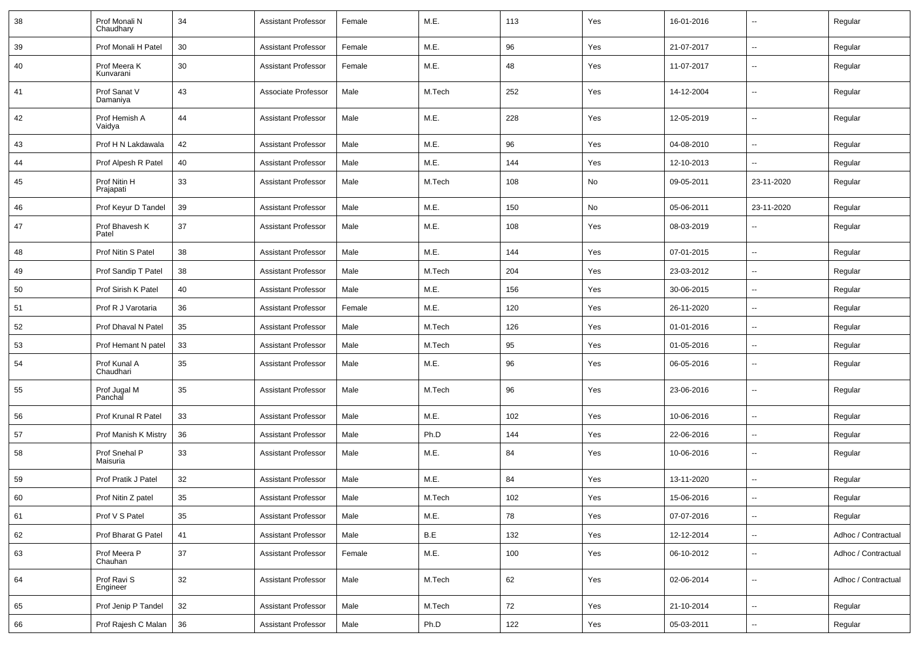| 38 | Prof Monali N<br>Chaudhary | 34 | <b>Assistant Professor</b> | Female | M.E.   | 113 | Yes | 16-01-2016 | $\overline{\phantom{a}}$ | Regular             |
|----|----------------------------|----|----------------------------|--------|--------|-----|-----|------------|--------------------------|---------------------|
| 39 | Prof Monali H Patel        | 30 | <b>Assistant Professor</b> | Female | M.E.   | 96  | Yes | 21-07-2017 | $\sim$                   | Regular             |
| 40 | Prof Meera K<br>Kunvarani  | 30 | <b>Assistant Professor</b> | Female | M.E.   | 48  | Yes | 11-07-2017 | $\overline{\phantom{a}}$ | Regular             |
| 41 | Prof Sanat V<br>Damaniya   | 43 | Associate Professor        | Male   | M.Tech | 252 | Yes | 14-12-2004 | $\overline{\phantom{a}}$ | Regular             |
| 42 | Prof Hemish A<br>Vaidya    | 44 | <b>Assistant Professor</b> | Male   | M.E.   | 228 | Yes | 12-05-2019 | $\overline{\phantom{a}}$ | Regular             |
| 43 | Prof H N Lakdawala         | 42 | <b>Assistant Professor</b> | Male   | M.E.   | 96  | Yes | 04-08-2010 | $\overline{\phantom{a}}$ | Regular             |
| 44 | Prof Alpesh R Patel        | 40 | <b>Assistant Professor</b> | Male   | M.E.   | 144 | Yes | 12-10-2013 |                          | Regular             |
| 45 | Prof Nitin H<br>Prajapati  | 33 | <b>Assistant Professor</b> | Male   | M.Tech | 108 | No  | 09-05-2011 | 23-11-2020               | Regular             |
| 46 | Prof Keyur D Tandel        | 39 | <b>Assistant Professor</b> | Male   | M.E.   | 150 | No  | 05-06-2011 | 23-11-2020               | Regular             |
| 47 | Prof Bhavesh K<br>Patel    | 37 | <b>Assistant Professor</b> | Male   | M.E.   | 108 | Yes | 08-03-2019 |                          | Regular             |
| 48 | Prof Nitin S Patel         | 38 | <b>Assistant Professor</b> | Male   | M.E.   | 144 | Yes | 07-01-2015 | $\mathbf{u}$             | Regular             |
| 49 | Prof Sandip T Patel        | 38 | <b>Assistant Professor</b> | Male   | M.Tech | 204 | Yes | 23-03-2012 | $\overline{a}$           | Regular             |
| 50 | Prof Sirish K Patel        | 40 | <b>Assistant Professor</b> | Male   | M.E.   | 156 | Yes | 30-06-2015 | $\sim$                   | Regular             |
| 51 | Prof R J Varotaria         | 36 | <b>Assistant Professor</b> | Female | M.E.   | 120 | Yes | 26-11-2020 | --                       | Regular             |
| 52 | Prof Dhaval N Patel        | 35 | <b>Assistant Professor</b> | Male   | M.Tech | 126 | Yes | 01-01-2016 | $\sim$                   | Regular             |
| 53 | Prof Hemant N patel        | 33 | <b>Assistant Professor</b> | Male   | M.Tech | 95  | Yes | 01-05-2016 | $\overline{\phantom{a}}$ | Regular             |
| 54 | Prof Kunal A<br>Chaudhari  | 35 | <b>Assistant Professor</b> | Male   | M.E.   | 96  | Yes | 06-05-2016 | --                       | Regular             |
| 55 | Prof Jugal M<br>Panchal    | 35 | <b>Assistant Professor</b> | Male   | M.Tech | 96  | Yes | 23-06-2016 | --                       | Regular             |
| 56 | Prof Krunal R Patel        | 33 | <b>Assistant Professor</b> | Male   | M.E.   | 102 | Yes | 10-06-2016 | $\overline{\phantom{a}}$ | Regular             |
| 57 | Prof Manish K Mistry       | 36 | <b>Assistant Professor</b> | Male   | Ph.D   | 144 | Yes | 22-06-2016 | $\mathbf{u}$             | Regular             |
| 58 | Prof Snehal P<br>Maisuria  | 33 | <b>Assistant Professor</b> | Male   | M.E.   | 84  | Yes | 10-06-2016 | $\sim$                   | Regular             |
| 59 | Prof Pratik J Patel        | 32 | <b>Assistant Professor</b> | Male   | M.E.   | 84  | Yes | 13-11-2020 | $\overline{\phantom{a}}$ | Regular             |
| 60 | Prof Nitin Z patel         | 35 | Assistant Professor        | Male   | M.Tech | 102 | Yes | 15-06-2016 | $\mathbf{u}$             | Regular             |
| 61 | Prof V S Patel             | 35 | <b>Assistant Professor</b> | Male   | M.E.   | 78  | Yes | 07-07-2016 | $\overline{\phantom{a}}$ | Regular             |
| 62 | Prof Bharat G Patel        | 41 | <b>Assistant Professor</b> | Male   | B.E    | 132 | Yes | 12-12-2014 | $\overline{\phantom{a}}$ | Adhoc / Contractual |
| 63 | Prof Meera P<br>Chauhan    | 37 | <b>Assistant Professor</b> | Female | M.E.   | 100 | Yes | 06-10-2012 | $\sim$                   | Adhoc / Contractual |
| 64 | Prof Ravi S<br>Engineer    | 32 | <b>Assistant Professor</b> | Male   | M.Tech | 62  | Yes | 02-06-2014 | $\overline{\phantom{a}}$ | Adhoc / Contractual |
| 65 | Prof Jenip P Tandel        | 32 | <b>Assistant Professor</b> | Male   | M.Tech | 72  | Yes | 21-10-2014 | $\overline{\phantom{a}}$ | Regular             |
| 66 | Prof Rajesh C Malan        | 36 | <b>Assistant Professor</b> | Male   | Ph.D   | 122 | Yes | 05-03-2011 | $\overline{\phantom{a}}$ | Regular             |